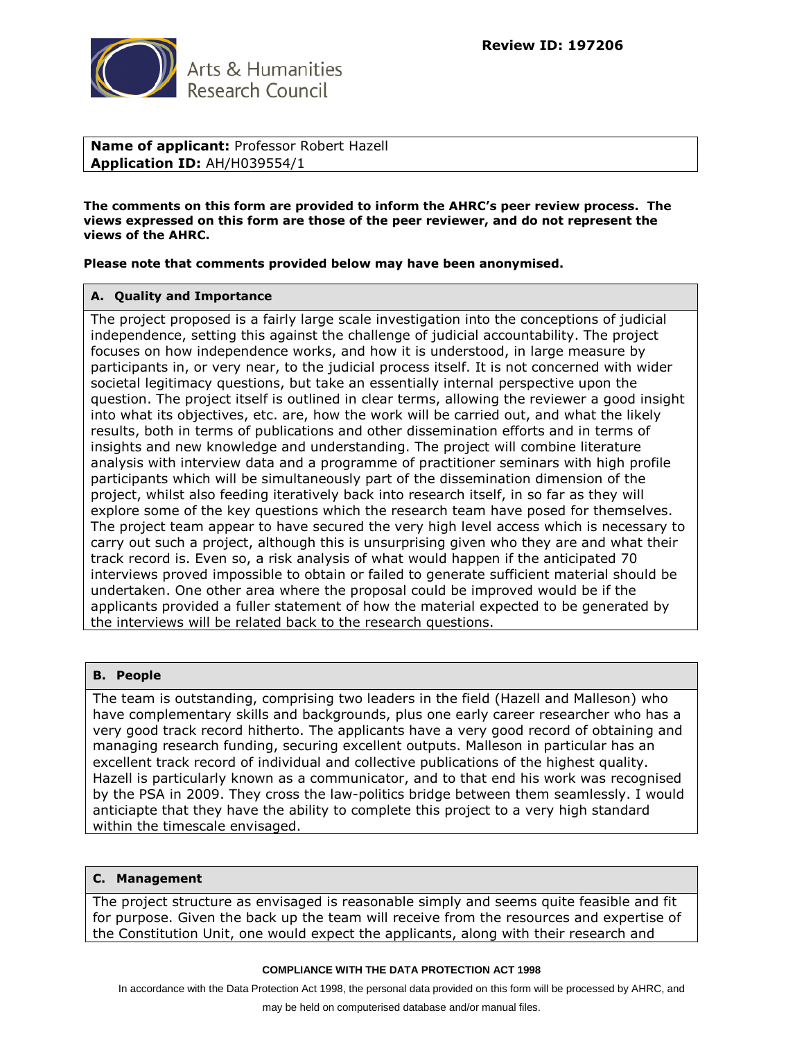

**Name of applicant:** Professor Robert Hazell **Application ID:** AH/H039554/1

**The comments on this form are provided to inform the AHRC's peer review process. The views expressed on this form are those of the peer reviewer, and do not represent the views of the AHRC.**

**Please note that comments provided below may have been anonymised.**

#### **A. Quality and Importance**

The project proposed is a fairly large scale investigation into the conceptions of judicial independence, setting this against the challenge of judicial accountability. The project focuses on how independence works, and how it is understood, in large measure by participants in, or very near, to the judicial process itself. It is not concerned with wider societal legitimacy questions, but take an essentially internal perspective upon the question. The project itself is outlined in clear terms, allowing the reviewer a good insight into what its objectives, etc. are, how the work will be carried out, and what the likely results, both in terms of publications and other dissemination efforts and in terms of insights and new knowledge and understanding. The project will combine literature analysis with interview data and a programme of practitioner seminars with high profile participants which will be simultaneously part of the dissemination dimension of the project, whilst also feeding iteratively back into research itself, in so far as they will explore some of the key questions which the research team have posed for themselves. The project team appear to have secured the very high level access which is necessary to carry out such a project, although this is unsurprising given who they are and what their track record is. Even so, a risk analysis of what would happen if the anticipated 70 interviews proved impossible to obtain or failed to generate sufficient material should be undertaken. One other area where the proposal could be improved would be if the applicants provided a fuller statement of how the material expected to be generated by the interviews will be related back to the research questions.

## **B. People**

The team is outstanding, comprising two leaders in the field (Hazell and Malleson) who have complementary skills and backgrounds, plus one early career researcher who has a very good track record hitherto. The applicants have a very good record of obtaining and managing research funding, securing excellent outputs. Malleson in particular has an excellent track record of individual and collective publications of the highest quality. Hazell is particularly known as a communicator, and to that end his work was recognised by the PSA in 2009. They cross the law-politics bridge between them seamlessly. I would anticiapte that they have the ability to complete this project to a very high standard within the timescale envisaged.

#### **C. Management**

The project structure as envisaged is reasonable simply and seems quite feasible and fit for purpose. Given the back up the team will receive from the resources and expertise of the Constitution Unit, one would expect the applicants, along with their research and

#### **COMPLIANCE WITH THE DATA PROTECTION ACT 1998**

In accordance with the Data Protection Act 1998, the personal data provided on this form will be processed by AHRC, and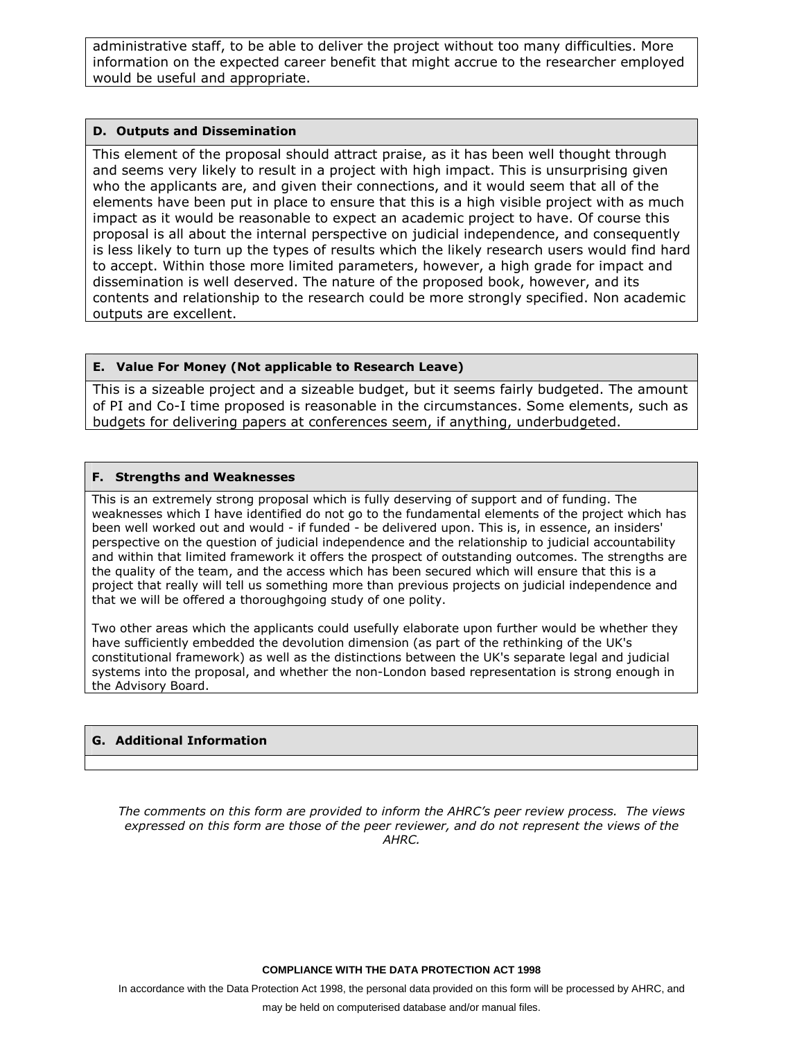administrative staff, to be able to deliver the project without too many difficulties. More information on the expected career benefit that might accrue to the researcher employed would be useful and appropriate.

## **D. Outputs and Dissemination**

This element of the proposal should attract praise, as it has been well thought through and seems very likely to result in a project with high impact. This is unsurprising given who the applicants are, and given their connections, and it would seem that all of the elements have been put in place to ensure that this is a high visible project with as much impact as it would be reasonable to expect an academic project to have. Of course this proposal is all about the internal perspective on judicial independence, and consequently is less likely to turn up the types of results which the likely research users would find hard to accept. Within those more limited parameters, however, a high grade for impact and dissemination is well deserved. The nature of the proposed book, however, and its contents and relationship to the research could be more strongly specified. Non academic outputs are excellent.

# **E. Value For Money (Not applicable to Research Leave)**

This is a sizeable project and a sizeable budget, but it seems fairly budgeted. The amount of PI and Co-I time proposed is reasonable in the circumstances. Some elements, such as budgets for delivering papers at conferences seem, if anything, underbudgeted.

# **F. Strengths and Weaknesses**

This is an extremely strong proposal which is fully deserving of support and of funding. The weaknesses which I have identified do not go to the fundamental elements of the project which has been well worked out and would - if funded - be delivered upon. This is, in essence, an insiders' perspective on the question of judicial independence and the relationship to judicial accountability and within that limited framework it offers the prospect of outstanding outcomes. The strengths are the quality of the team, and the access which has been secured which will ensure that this is a project that really will tell us something more than previous projects on judicial independence and that we will be offered a thoroughgoing study of one polity.

Two other areas which the applicants could usefully elaborate upon further would be whether they have sufficiently embedded the devolution dimension (as part of the rethinking of the UK's constitutional framework) as well as the distinctions between the UK's separate legal and judicial systems into the proposal, and whether the non-London based representation is strong enough in the Advisory Board.

# **G. Additional Information**

*The comments on this form are provided to inform the AHRC's peer review process. The views expressed on this form are those of the peer reviewer, and do not represent the views of the AHRC.*

**COMPLIANCE WITH THE DATA PROTECTION ACT 1998**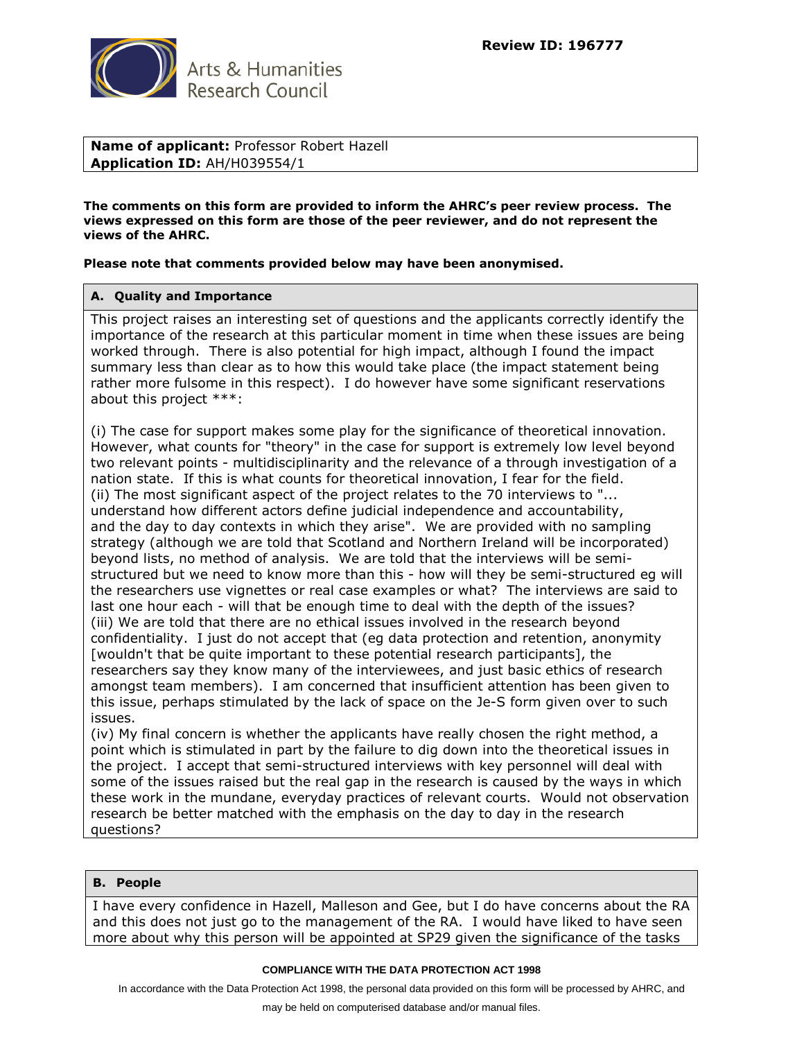

**Name of applicant:** Professor Robert Hazell **Application ID:** AH/H039554/1

**The comments on this form are provided to inform the AHRC's peer review process. The views expressed on this form are those of the peer reviewer, and do not represent the views of the AHRC.**

**Please note that comments provided below may have been anonymised.**

## **A. Quality and Importance**

This project raises an interesting set of questions and the applicants correctly identify the importance of the research at this particular moment in time when these issues are being worked through. There is also potential for high impact, although I found the impact summary less than clear as to how this would take place (the impact statement being rather more fulsome in this respect). I do however have some significant reservations about this project \*\*\*:

(i) The case for support makes some play for the significance of theoretical innovation. However, what counts for "theory" in the case for support is extremely low level beyond two relevant points - multidisciplinarity and the relevance of a through investigation of a nation state. If this is what counts for theoretical innovation, I fear for the field. (ii) The most significant aspect of the project relates to the 70 interviews to "... understand how different actors define judicial independence and accountability, and the day to day contexts in which they arise". We are provided with no sampling strategy (although we are told that Scotland and Northern Ireland will be incorporated) beyond lists, no method of analysis. We are told that the interviews will be semistructured but we need to know more than this - how will they be semi-structured eg will the researchers use vignettes or real case examples or what? The interviews are said to last one hour each - will that be enough time to deal with the depth of the issues? (iii) We are told that there are no ethical issues involved in the research beyond confidentiality. I just do not accept that (eg data protection and retention, anonymity [wouldn't that be quite important to these potential research participants], the researchers say they know many of the interviewees, and just basic ethics of research amongst team members). I am concerned that insufficient attention has been given to this issue, perhaps stimulated by the lack of space on the Je-S form given over to such issues.

(iv) My final concern is whether the applicants have really chosen the right method, a point which is stimulated in part by the failure to dig down into the theoretical issues in the project. I accept that semi-structured interviews with key personnel will deal with some of the issues raised but the real gap in the research is caused by the ways in which these work in the mundane, everyday practices of relevant courts. Would not observation research be better matched with the emphasis on the day to day in the research questions?

#### **B. People**

I have every confidence in Hazell, Malleson and Gee, but I do have concerns about the RA and this does not just go to the management of the RA. I would have liked to have seen more about why this person will be appointed at SP29 given the significance of the tasks

#### **COMPLIANCE WITH THE DATA PROTECTION ACT 1998**

In accordance with the Data Protection Act 1998, the personal data provided on this form will be processed by AHRC, and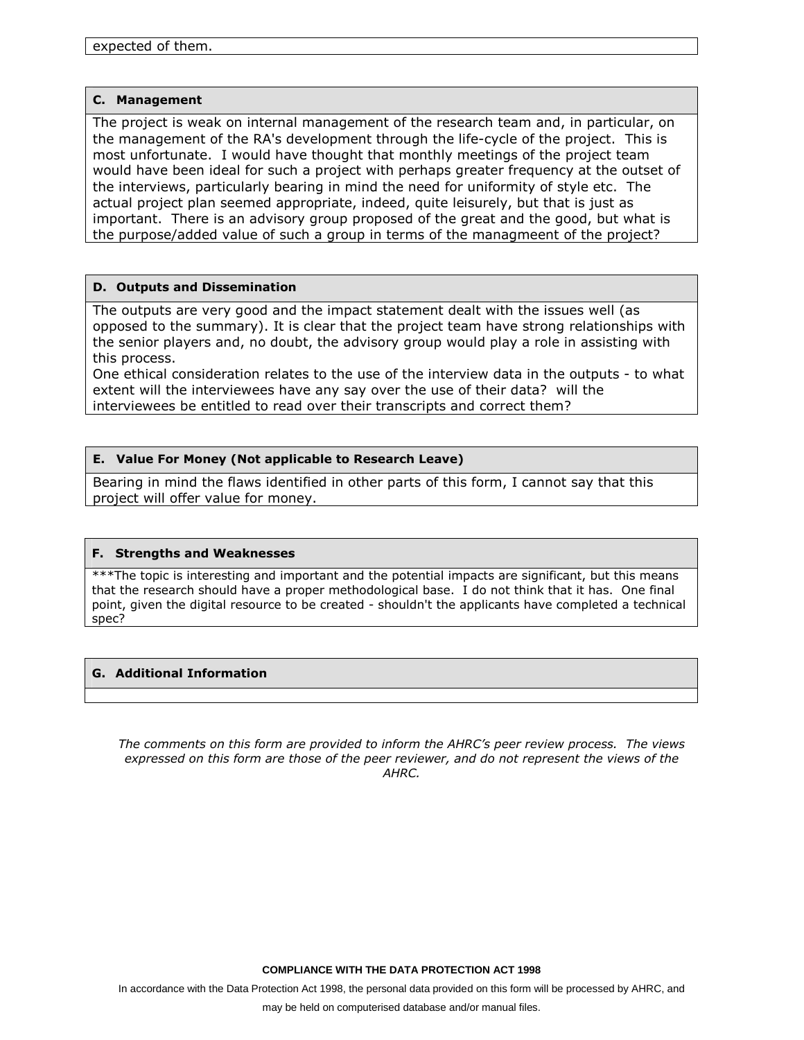#### **C. Management**

The project is weak on internal management of the research team and, in particular, on the management of the RA's development through the life-cycle of the project. This is most unfortunate. I would have thought that monthly meetings of the project team would have been ideal for such a project with perhaps greater frequency at the outset of the interviews, particularly bearing in mind the need for uniformity of style etc. The actual project plan seemed appropriate, indeed, quite leisurely, but that is just as important. There is an advisory group proposed of the great and the good, but what is the purpose/added value of such a group in terms of the managmeent of the project?

## **D. Outputs and Dissemination**

The outputs are very good and the impact statement dealt with the issues well (as opposed to the summary). It is clear that the project team have strong relationships with the senior players and, no doubt, the advisory group would play a role in assisting with this process.

One ethical consideration relates to the use of the interview data in the outputs - to what extent will the interviewees have any say over the use of their data? will the interviewees be entitled to read over their transcripts and correct them?

## **E. Value For Money (Not applicable to Research Leave)**

Bearing in mind the flaws identified in other parts of this form, I cannot say that this project will offer value for money.

## **F. Strengths and Weaknesses**

\*\*\*The topic is interesting and important and the potential impacts are significant, but this means that the research should have a proper methodological base. I do not think that it has. One final point, given the digital resource to be created - shouldn't the applicants have completed a technical spec?

## **G. Additional Information**

*The comments on this form are provided to inform the AHRC's peer review process. The views expressed on this form are those of the peer reviewer, and do not represent the views of the AHRC.*

**COMPLIANCE WITH THE DATA PROTECTION ACT 1998**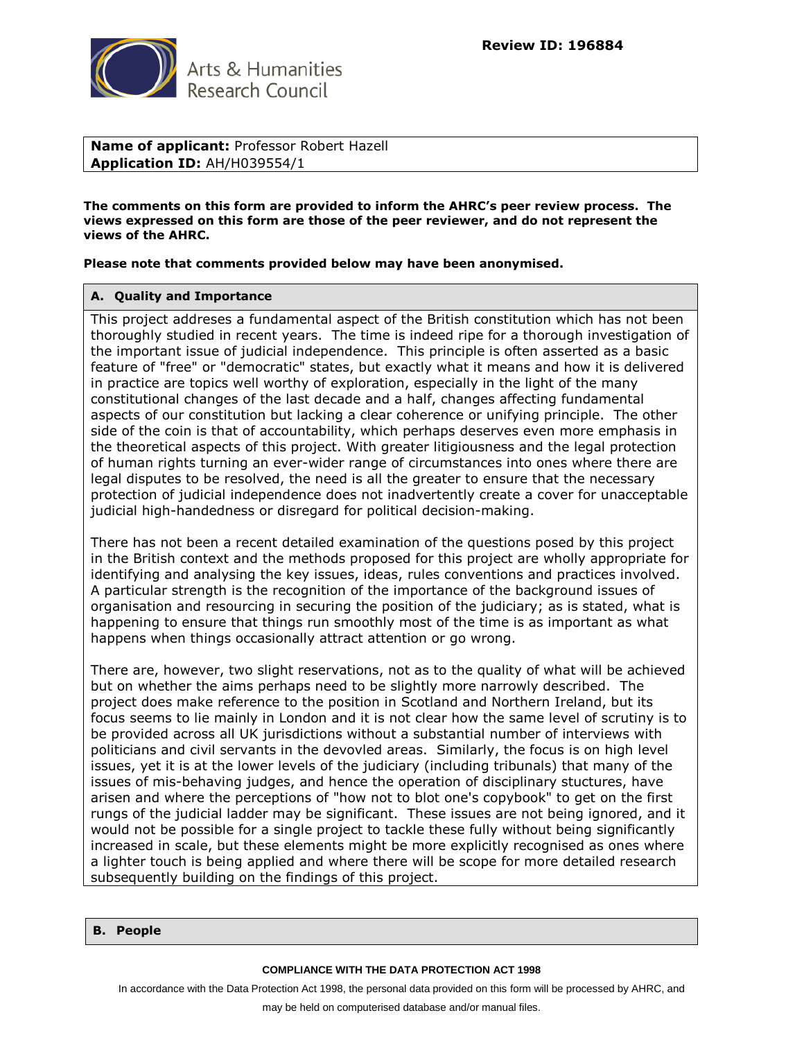

**Name of applicant:** Professor Robert Hazell **Application ID:** AH/H039554/1

**The comments on this form are provided to inform the AHRC's peer review process. The views expressed on this form are those of the peer reviewer, and do not represent the views of the AHRC.**

**Please note that comments provided below may have been anonymised.**

#### **A. Quality and Importance**

This project addreses a fundamental aspect of the British constitution which has not been thoroughly studied in recent years. The time is indeed ripe for a thorough investigation of the important issue of judicial independence. This principle is often asserted as a basic feature of "free" or "democratic" states, but exactly what it means and how it is delivered in practice are topics well worthy of exploration, especially in the light of the many constitutional changes of the last decade and a half, changes affecting fundamental aspects of our constitution but lacking a clear coherence or unifying principle. The other side of the coin is that of accountability, which perhaps deserves even more emphasis in the theoretical aspects of this project. With greater litigiousness and the legal protection of human rights turning an ever-wider range of circumstances into ones where there are legal disputes to be resolved, the need is all the greater to ensure that the necessary protection of judicial independence does not inadvertently create a cover for unacceptable judicial high-handedness or disregard for political decision-making.

There has not been a recent detailed examination of the questions posed by this project in the British context and the methods proposed for this project are wholly appropriate for identifying and analysing the key issues, ideas, rules conventions and practices involved. A particular strength is the recognition of the importance of the background issues of organisation and resourcing in securing the position of the judiciary; as is stated, what is happening to ensure that things run smoothly most of the time is as important as what happens when things occasionally attract attention or go wrong.

There are, however, two slight reservations, not as to the quality of what will be achieved but on whether the aims perhaps need to be slightly more narrowly described. The project does make reference to the position in Scotland and Northern Ireland, but its focus seems to lie mainly in London and it is not clear how the same level of scrutiny is to be provided across all UK jurisdictions without a substantial number of interviews with politicians and civil servants in the devovled areas. Similarly, the focus is on high level issues, yet it is at the lower levels of the judiciary (including tribunals) that many of the issues of mis-behaving judges, and hence the operation of disciplinary stuctures, have arisen and where the perceptions of "how not to blot one's copybook" to get on the first rungs of the judicial ladder may be significant. These issues are not being ignored, and it would not be possible for a single project to tackle these fully without being significantly increased in scale, but these elements might be more explicitly recognised as ones where a lighter touch is being applied and where there will be scope for more detailed research subsequently building on the findings of this project.

#### **B. People**

#### **COMPLIANCE WITH THE DATA PROTECTION ACT 1998**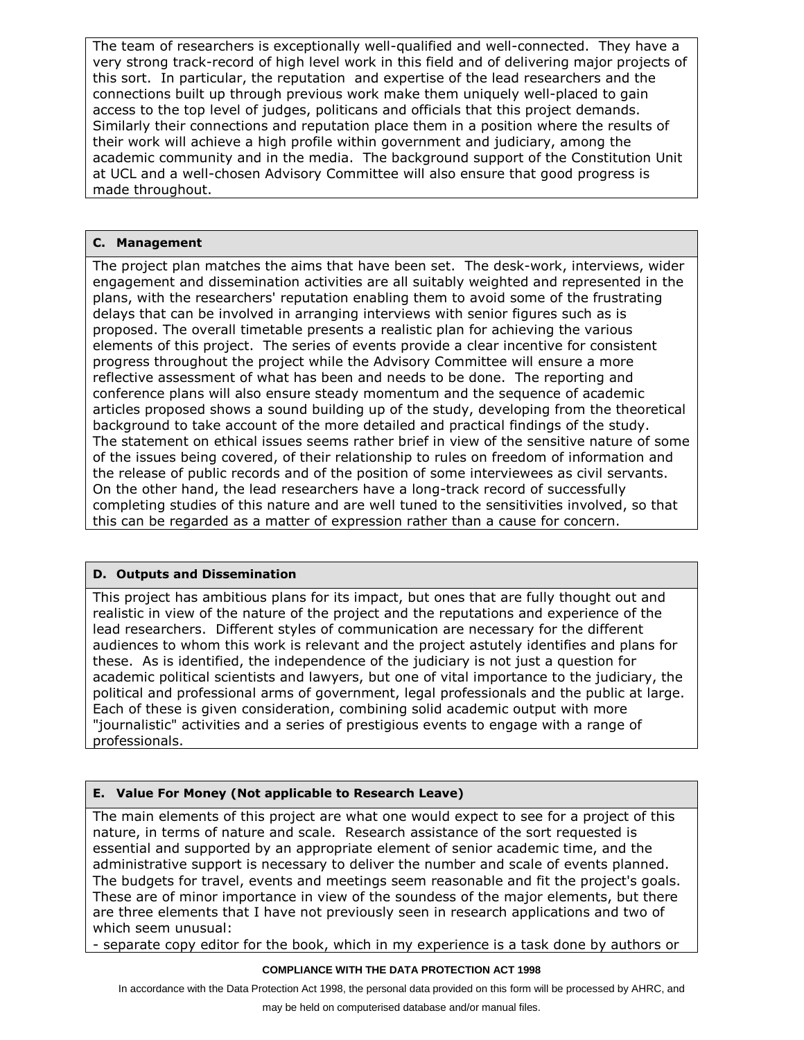The team of researchers is exceptionally well-qualified and well-connected. They have a very strong track-record of high level work in this field and of delivering major projects of this sort. In particular, the reputation and expertise of the lead researchers and the connections built up through previous work make them uniquely well-placed to gain access to the top level of judges, politicans and officials that this project demands. Similarly their connections and reputation place them in a position where the results of their work will achieve a high profile within government and judiciary, among the academic community and in the media. The background support of the Constitution Unit at UCL and a well-chosen Advisory Committee will also ensure that good progress is made throughout.

# **C. Management**

The project plan matches the aims that have been set. The desk-work, interviews, wider engagement and dissemination activities are all suitably weighted and represented in the plans, with the researchers' reputation enabling them to avoid some of the frustrating delays that can be involved in arranging interviews with senior figures such as is proposed. The overall timetable presents a realistic plan for achieving the various elements of this project. The series of events provide a clear incentive for consistent progress throughout the project while the Advisory Committee will ensure a more reflective assessment of what has been and needs to be done. The reporting and conference plans will also ensure steady momentum and the sequence of academic articles proposed shows a sound building up of the study, developing from the theoretical background to take account of the more detailed and practical findings of the study. The statement on ethical issues seems rather brief in view of the sensitive nature of some of the issues being covered, of their relationship to rules on freedom of information and the release of public records and of the position of some interviewees as civil servants. On the other hand, the lead researchers have a long-track record of successfully completing studies of this nature and are well tuned to the sensitivities involved, so that this can be regarded as a matter of expression rather than a cause for concern.

# **D. Outputs and Dissemination**

This project has ambitious plans for its impact, but ones that are fully thought out and realistic in view of the nature of the project and the reputations and experience of the lead researchers. Different styles of communication are necessary for the different audiences to whom this work is relevant and the project astutely identifies and plans for these. As is identified, the independence of the judiciary is not just a question for academic political scientists and lawyers, but one of vital importance to the judiciary, the political and professional arms of government, legal professionals and the public at large. Each of these is given consideration, combining solid academic output with more "journalistic" activities and a series of prestigious events to engage with a range of professionals.

# **E. Value For Money (Not applicable to Research Leave)**

The main elements of this project are what one would expect to see for a project of this nature, in terms of nature and scale. Research assistance of the sort requested is essential and supported by an appropriate element of senior academic time, and the administrative support is necessary to deliver the number and scale of events planned. The budgets for travel, events and meetings seem reasonable and fit the project's goals. These are of minor importance in view of the soundess of the major elements, but there are three elements that I have not previously seen in research applications and two of which seem unusual:

- separate copy editor for the book, which in my experience is a task done by authors or

#### **COMPLIANCE WITH THE DATA PROTECTION ACT 1998**

In accordance with the Data Protection Act 1998, the personal data provided on this form will be processed by AHRC, and